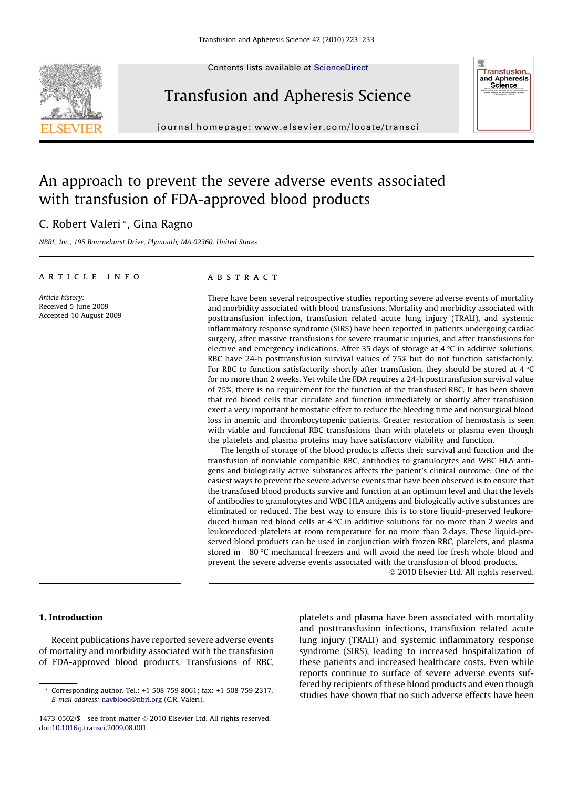Contents lists available at [ScienceDirect](http://www.sciencedirect.com/science/journal/14730502)





journal homepage: [www.elsevier.com/locate/transci](http://www.elsevier.com/locate/transci)

# An approach to prevent the severe adverse events associated with transfusion of FDA-approved blood products

# C. Robert Valeri \*, Gina Ragno

NBRL, Inc., 195 Bournehurst Drive, Plymouth, MA 02360, United States

#### ARTICIE INFO

Article history: Received 5 June 2009 Accepted 10 August 2009

# **ARSTRACT**

There have been several retrospective studies reporting severe adverse events of mortality and morbidity associated with blood transfusions. Mortality and morbidity associated with posttransfusion infection, transfusion related acute lung injury (TRALI), and systemic inflammatory response syndrome (SIRS) have been reported in patients undergoing cardiac surgery, after massive transfusions for severe traumatic injuries, and after transfusions for elective and emergency indications. After 35 days of storage at 4  $\degree$ C in additive solutions, RBC have 24-h posttransfusion survival values of 75% but do not function satisfactorily. For RBC to function satisfactorily shortly after transfusion, they should be stored at 4  $\degree$ C for no more than 2 weeks. Yet while the FDA requires a 24-h posttransfusion survival value of 75%, there is no requirement for the function of the transfused RBC. It has been shown that red blood cells that circulate and function immediately or shortly after transfusion exert a very important hemostatic effect to reduce the bleeding time and nonsurgical blood loss in anemic and thrombocytopenic patients. Greater restoration of hemostasis is seen with viable and functional RBC transfusions than with platelets or plasma even though the platelets and plasma proteins may have satisfactory viability and function.

The length of storage of the blood products affects their survival and function and the transfusion of nonviable compatible RBC, antibodies to granulocytes and WBC HLA antigens and biologically active substances affects the patient's clinical outcome. One of the easiest ways to prevent the severe adverse events that have been observed is to ensure that the transfused blood products survive and function at an optimum level and that the levels of antibodies to granulocytes and WBC HLA antigens and biologically active substances are eliminated or reduced. The best way to ensure this is to store liquid-preserved leukoreduced human red blood cells at  $4 \,^{\circ}$ C in additive solutions for no more than 2 weeks and leukoreduced platelets at room temperature for no more than 2 days. These liquid-preserved blood products can be used in conjunction with frozen RBC, platelets, and plasma stored in  $-80$  °C mechanical freezers and will avoid the need for fresh whole blood and prevent the severe adverse events associated with the transfusion of blood products.

2010 Elsevier Ltd. All rights reserved.

**Transfusion** and Apheresis<br>Science

#### 1. Introduction

Recent publications have reported severe adverse events of mortality and morbidity associated with the transfusion of FDA-approved blood products. Transfusions of RBC, platelets and plasma have been associated with mortality and posttransfusion infections, transfusion related acute lung injury (TRALI) and systemic inflammatory response syndrome (SIRS), leading to increased hospitalization of these patients and increased healthcare costs. Even while reports continue to surface of severe adverse events suffered by recipients of these blood products and even though studies have shown that no such adverse effects have been

<sup>\*</sup> Corresponding author. Tel.: +1 508 759 8061; fax: +1 508 759 2317. E-mail address: [navblood@nbrl.org](mailto:navblood@nbrl.org) (C.R. Valeri).

<sup>1473-0502/\$ -</sup> see front matter 2010 Elsevier Ltd. All rights reserved. doi:[10.1016/j.transci.2009.08.001](http://dx.doi.org/10.1016/j.transci.2009.08.001)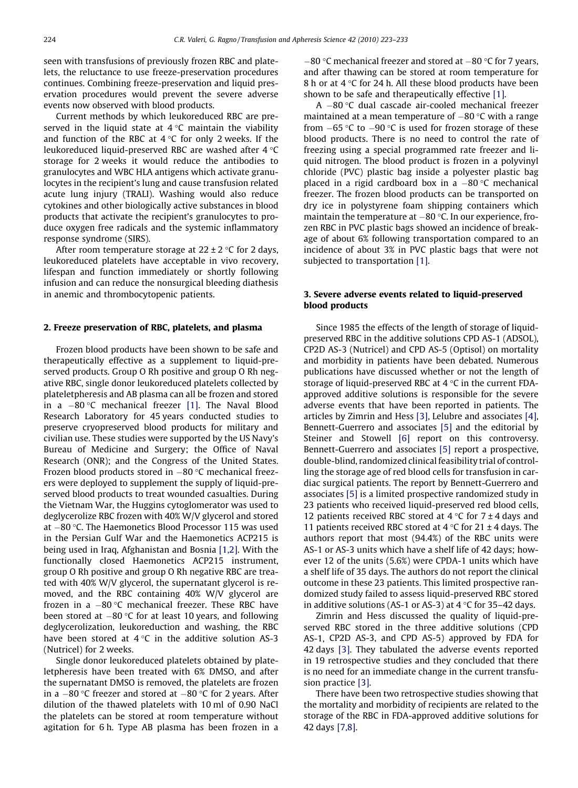seen with transfusions of previously frozen RBC and platelets, the reluctance to use freeze-preservation procedures continues. Combining freeze-preservation and liquid preservation procedures would prevent the severe adverse events now observed with blood products.

Current methods by which leukoreduced RBC are preserved in the liquid state at  $4\,^{\circ}\mathrm{C}$  maintain the viability and function of the RBC at 4  $\rm ^{\circ}$ C for only 2 weeks. If the leukoreduced liquid-preserved RBC are washed after 4  $^\circ$ C storage for 2 weeks it would reduce the antibodies to granulocytes and WBC HLA antigens which activate granulocytes in the recipient's lung and cause transfusion related acute lung injury (TRALI). Washing would also reduce cytokines and other biologically active substances in blood products that activate the recipient's granulocytes to produce oxygen free radicals and the systemic inflammatory response syndrome (SIRS).

After room temperature storage at 22 ± 2 °C for 2 days, leukoreduced platelets have acceptable in vivo recovery, lifespan and function immediately or shortly following infusion and can reduce the nonsurgical bleeding diathesis in anemic and thrombocytopenic patients.

### 2. Freeze preservation of RBC, platelets, and plasma

Frozen blood products have been shown to be safe and therapeutically effective as a supplement to liquid-preserved products. Group O Rh positive and group O Rh negative RBC, single donor leukoreduced platelets collected by plateletpheresis and AB plasma can all be frozen and stored in a –80 °C mechanical freezer [\[1\].](#page-9-0) The Naval Blood Research Laboratory for 45 years conducted studies to preserve cryopreserved blood products for military and civilian use. These studies were supported by the US Navy's Bureau of Medicine and Surgery; the Office of Naval Research (ONR); and the Congress of the United States. Frozen blood products stored in –80 °C mechanical freezers were deployed to supplement the supply of liquid-preserved blood products to treat wounded casualties. During the Vietnam War, the Huggins cytoglomerator was used to deglycerolize RBC frozen with 40% W/V glycerol and stored at -80 °C. The Haemonetics Blood Processor 115 was used in the Persian Gulf War and the Haemonetics ACP215 is being used in Iraq, Afghanistan and Bosnia [\[1,2\].](#page-9-0) With the functionally closed Haemonetics ACP215 instrument, group O Rh positive and group O Rh negative RBC are treated with 40% W/V glycerol, the supernatant glycerol is removed, and the RBC containing 40% W/V glycerol are frozen in a  $-80\,^{\circ}\mathrm{C}$  mechanical freezer. These RBC have been stored at  $-80$  °C for at least 10 years, and following deglycerolization, leukoreduction and washing, the RBC have been stored at  $4^{\circ}C$  in the additive solution AS-3 (Nutricel) for 2 weeks.

Single donor leukoreduced platelets obtained by plateletpheresis have been treated with 6% DMSO, and after the supernatant DMSO is removed, the platelets are frozen in a  $-80\,^{\circ}\textrm{C}$  freezer and stored at  $-80\,^{\circ}\textrm{C}$  for 2 years. After dilution of the thawed platelets with 10 ml of 0.90 NaCl the platelets can be stored at room temperature without agitation for 6 h. Type AB plasma has been frozen in a

 $-80$  °C mechanical freezer and stored at  $-80$  °C for 7 years, and after thawing can be stored at room temperature for 8 h or at 4  $\degree$ C for 24 h. All these blood products have been shown to be safe and therapeutically effective [\[1\]](#page-9-0).

A –80 °C dual cascade air-cooled mechanical freezer maintained at a mean temperature of  $-80$  °C with a range from  $-65$  °C to  $-90$  °C is used for frozen storage of these blood products. There is no need to control the rate of freezing using a special programmed rate freezer and liquid nitrogen. The blood product is frozen in a polyvinyl chloride (PVC) plastic bag inside a polyester plastic bag placed in a rigid cardboard box in a  $-80$  °C mechanical freezer. The frozen blood products can be transported on dry ice in polystyrene foam shipping containers which maintain the temperature at  $-80$  °C. In our experience, frozen RBC in PVC plastic bags showed an incidence of breakage of about 6% following transportation compared to an incidence of about 3% in PVC plastic bags that were not subjected to transportation [\[1\]](#page-9-0).

# 3. Severe adverse events related to liquid-preserved blood products

Since 1985 the effects of the length of storage of liquidpreserved RBC in the additive solutions CPD AS-1 (ADSOL), CP2D AS-3 (Nutricel) and CPD AS-5 (Optisol) on mortality and morbidity in patients have been debated. Numerous publications have discussed whether or not the length of storage of liquid-preserved RBC at  $4^{\circ}$ C in the current FDAapproved additive solutions is responsible for the severe adverse events that have been reported in patients. The articles by Zimrin and Hess [\[3\]](#page-9-0), Lelubre and associates [\[4\],](#page-9-0) Bennett-Guerrero and associates [\[5\]](#page-9-0) and the editorial by Steiner and Stowell [\[6\]](#page-9-0) report on this controversy. Bennett-Guerrero and associates [\[5\]](#page-9-0) report a prospective, double-blind, randomized clinical feasibility trial of controlling the storage age of red blood cells for transfusion in cardiac surgical patients. The report by Bennett-Guerrero and associates [\[5\]](#page-9-0) is a limited prospective randomized study in 23 patients who received liquid-preserved red blood cells, 12 patients received RBC stored at  $4^{\circ}$ C for  $7 \pm 4$  days and 11 patients received RBC stored at 4  $\degree$ C for 21 ± 4 days. The authors report that most (94.4%) of the RBC units were AS-1 or AS-3 units which have a shelf life of 42 days; however 12 of the units (5.6%) were CPDA-1 units which have a shelf life of 35 days. The authors do not report the clinical outcome in these 23 patients. This limited prospective randomized study failed to assess liquid-preserved RBC stored in additive solutions (AS-1 or AS-3) at 4  $\degree$ C for 35–42 days.

Zimrin and Hess discussed the quality of liquid-preserved RBC stored in the three additive solutions (CPD AS-1, CP2D AS-3, and CPD AS-5) approved by FDA for 42 days [\[3\].](#page-9-0) They tabulated the adverse events reported in 19 retrospective studies and they concluded that there is no need for an immediate change in the current transfusion practice [\[3\].](#page-9-0)

There have been two retrospective studies showing that the mortality and morbidity of recipients are related to the storage of the RBC in FDA-approved additive solutions for 42 days [\[7,8\]](#page-9-0).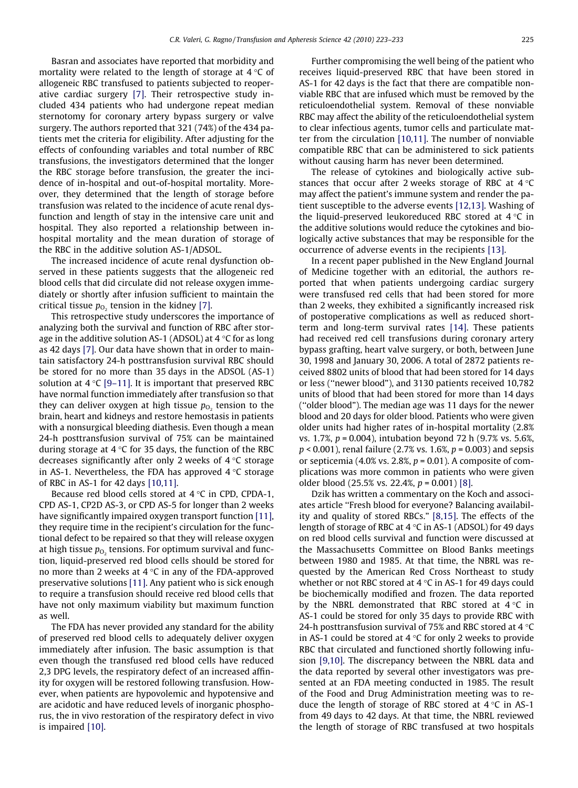Basran and associates have reported that morbidity and mortality were related to the length of storage at 4  $^\circ\textsf{C}$  of allogeneic RBC transfused to patients subjected to reoperative cardiac surgery [\[7\].](#page-9-0) Their retrospective study included 434 patients who had undergone repeat median sternotomy for coronary artery bypass surgery or valve surgery. The authors reported that 321 (74%) of the 434 patients met the criteria for eligibility. After adjusting for the effects of confounding variables and total number of RBC transfusions, the investigators determined that the longer the RBC storage before transfusion, the greater the incidence of in-hospital and out-of-hospital mortality. Moreover, they determined that the length of storage before transfusion was related to the incidence of acute renal dysfunction and length of stay in the intensive care unit and hospital. They also reported a relationship between inhospital mortality and the mean duration of storage of the RBC in the additive solution AS-1/ADSOL.

The increased incidence of acute renal dysfunction observed in these patients suggests that the allogeneic red blood cells that did circulate did not release oxygen immediately or shortly after infusion sufficient to maintain the critical tissue  $p_{O<sub>2</sub>}$  tension in the kidney [\[7\]](#page-9-0).

This retrospective study underscores the importance of analyzing both the survival and function of RBC after storage in the additive solution AS-1 (ADSOL) at 4 °C for as long as 42 days [\[7\].](#page-9-0) Our data have shown that in order to maintain satisfactory 24-h posttransfusion survival RBC should be stored for no more than 35 days in the ADSOL (AS-1) solution at 4 °C [\[9–11\].](#page-9-0) It is important that preserved RBC have normal function immediately after transfusion so that they can deliver oxygen at high tissue  $p_{0}$ , tension to the brain, heart and kidneys and restore hemostasis in patients with a nonsurgical bleeding diathesis. Even though a mean 24-h posttransfusion survival of 75% can be maintained during storage at 4 °C for 35 days, the function of the RBC decreases significantly after only 2 weeks of 4 °C storage in AS-1. Nevertheless, the FDA has approved 4 °C storage of RBC in AS-1 for 42 days [\[10,11\]](#page-9-0).

Because red blood cells stored at 4  $^\circ\textsf{C}$  in CPD, CPDA-1, CPD AS-1, CP2D AS-3, or CPD AS-5 for longer than 2 weeks have significantly impaired oxygen transport function [\[11\]](#page-9-0), they require time in the recipient's circulation for the functional defect to be repaired so that they will release oxygen at high tissue  $p_{\text{o}}$ , tensions. For optimum survival and function, liquid-preserved red blood cells should be stored for no more than 2 weeks at 4 °C in any of the FDA-approved preservative solutions [\[11\]](#page-9-0). Any patient who is sick enough to require a transfusion should receive red blood cells that have not only maximum viability but maximum function as well.

The FDA has never provided any standard for the ability of preserved red blood cells to adequately deliver oxygen immediately after infusion. The basic assumption is that even though the transfused red blood cells have reduced 2,3 DPG levels, the respiratory defect of an increased affinity for oxygen will be restored following transfusion. However, when patients are hypovolemic and hypotensive and are acidotic and have reduced levels of inorganic phosphorus, the in vivo restoration of the respiratory defect in vivo is impaired [\[10\].](#page-9-0)

Further compromising the well being of the patient who receives liquid-preserved RBC that have been stored in AS-1 for 42 days is the fact that there are compatible nonviable RBC that are infused which must be removed by the reticuloendothelial system. Removal of these nonviable RBC may affect the ability of the reticuloendothelial system to clear infectious agents, tumor cells and particulate matter from the circulation [\[10,11\].](#page-9-0) The number of nonviable compatible RBC that can be administered to sick patients without causing harm has never been determined.

The release of cytokines and biologically active substances that occur after 2 weeks storage of RBC at  $4^{\circ}$ C may affect the patient's immune system and render the patient susceptible to the adverse events [\[12,13\]](#page-9-0). Washing of the liquid-preserved leukoreduced RBC stored at  $4^{\circ}$ C in the additive solutions would reduce the cytokines and biologically active substances that may be responsible for the occurrence of adverse events in the recipients [\[13\]](#page-9-0).

In a recent paper published in the New England Journal of Medicine together with an editorial, the authors reported that when patients undergoing cardiac surgery were transfused red cells that had been stored for more than 2 weeks, they exhibited a significantly increased risk of postoperative complications as well as reduced shortterm and long-term survival rates [\[14\].](#page-9-0) These patients had received red cell transfusions during coronary artery bypass grafting, heart valve surgery, or both, between June 30, 1998 and January 30, 2006. A total of 2872 patients received 8802 units of blood that had been stored for 14 days or less (''newer blood"), and 3130 patients received 10,782 units of blood that had been stored for more than 14 days (''older blood"). The median age was 11 days for the newer blood and 20 days for older blood. Patients who were given older units had higher rates of in-hospital mortality (2.8% vs.  $1.7\%$ ,  $p = 0.004$ ), intubation beyond 72 h (9.7% vs. 5.6%,  $p < 0.001$ ), renal failure (2.7% vs. 1.6%,  $p = 0.003$ ) and sepsis or septicemia (4.0% vs. 2.8%,  $p = 0.01$ ). A composite of complications was more common in patients who were given older blood  $(25.5\% \text{ vs. } 22.4\%, p = 0.001)$  [\[8\].](#page-9-0)

Dzik has written a commentary on the Koch and associates article ''Fresh blood for everyone? Balancing availability and quality of stored RBCs." [\[8,15\].](#page-9-0) The effects of the length of storage of RBC at 4  $\rm ^{\circ}$ C in AS-1 (ADSOL) for 49 days on red blood cells survival and function were discussed at the Massachusetts Committee on Blood Banks meetings between 1980 and 1985. At that time, the NBRL was requested by the American Red Cross Northeast to study whether or not RBC stored at 4  $\rm ^{\circ}$ C in AS-1 for 49 days could be biochemically modified and frozen. The data reported by the NBRL demonstrated that RBC stored at  $4^{\circ}$ C in AS-1 could be stored for only 35 days to provide RBC with 24-h posttransfusion survival of 75% and RBC stored at 4  $^{\circ}$ C in AS-1 could be stored at 4  $\rm ^{\circ}$ C for only 2 weeks to provide RBC that circulated and functioned shortly following infusion [\[9,10\]](#page-9-0). The discrepancy between the NBRL data and the data reported by several other investigators was presented at an FDA meeting conducted in 1985. The result of the Food and Drug Administration meeting was to reduce the length of storage of RBC stored at  $4^{\circ}$ C in AS-1 from 49 days to 42 days. At that time, the NBRL reviewed the length of storage of RBC transfused at two hospitals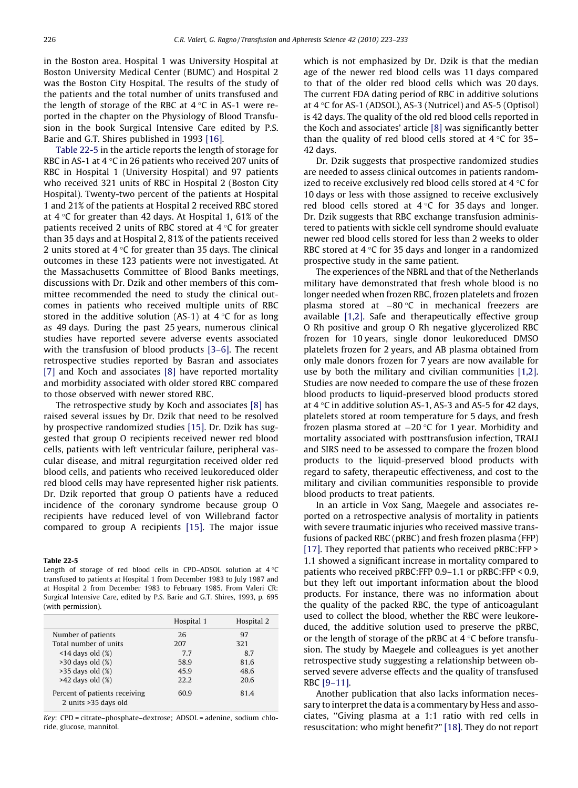in the Boston area. Hospital 1 was University Hospital at Boston University Medical Center (BUMC) and Hospital 2 was the Boston City Hospital. The results of the study of the patients and the total number of units transfused and the length of storage of the RBC at 4  $^{\circ}$ C in AS-1 were reported in the chapter on the Physiology of Blood Transfusion in the book Surgical Intensive Care edited by P.S. Barie and G.T. Shires published in 1993 [\[16\]](#page-9-0).

Table 22-5 in the article reports the length of storage for RBC in AS-1 at 4 °C in 26 patients who received 207 units of RBC in Hospital 1 (University Hospital) and 97 patients who received 321 units of RBC in Hospital 2 (Boston City Hospital). Twenty-two percent of the patients at Hospital 1 and 21% of the patients at Hospital 2 received RBC stored at 4 °C for greater than 42 days. At Hospital 1, 61% of the patients received 2 units of RBC stored at 4  $\rm ^{\circ}$ C for greater than 35 days and at Hospital 2, 81% of the patients received 2 units stored at 4 °C for greater than 35 days. The clinical outcomes in these 123 patients were not investigated. At the Massachusetts Committee of Blood Banks meetings, discussions with Dr. Dzik and other members of this committee recommended the need to study the clinical outcomes in patients who received multiple units of RBC stored in the additive solution (AS-1) at 4  $\rm ^{\circ}$ C for as long as 49 days. During the past 25 years, numerous clinical studies have reported severe adverse events associated with the transfusion of blood products [\[3–6\].](#page-9-0) The recent retrospective studies reported by Basran and associates [\[7\]](#page-9-0) and Koch and associates [\[8\]](#page-9-0) have reported mortality and morbidity associated with older stored RBC compared to those observed with newer stored RBC.

The retrospective study by Koch and associates [\[8\]](#page-9-0) has raised several issues by Dr. Dzik that need to be resolved by prospective randomized studies [\[15\]](#page-9-0). Dr. Dzik has suggested that group O recipients received newer red blood cells, patients with left ventricular failure, peripheral vascular disease, and mitral regurgitation received older red blood cells, and patients who received leukoreduced older red blood cells may have represented higher risk patients. Dr. Dzik reported that group O patients have a reduced incidence of the coronary syndrome because group O recipients have reduced level of von Willebrand factor compared to group A recipients [\[15\].](#page-9-0) The major issue

Table 22-5 Length of storage of red blood cells in CPD–ADSOL solution at  $4\,^{\circ}\mathrm{C}$ transfused to patients at Hospital 1 from December 1983 to July 1987 and at Hospital 2 from December 1983 to February 1985. From Valeri CR: Surgical Intensive Care, edited by P.S. Barie and G.T. Shires, 1993, p. 695

(with permission).

|                                                       | Hospital 1 | Hospital 2 |
|-------------------------------------------------------|------------|------------|
| Number of patients                                    | 26         | 97         |
| Total number of units                                 | 207        | 321        |
| $\leq$ 14 days old $(\%)$                             | 7.7        | 8.7        |
| $>30$ days old $(\%)$                                 | 58.9       | 81.6       |
| $>35$ days old $(\%)$                                 | 45.9       | 48.6       |
| $>42$ days old $(\%)$                                 | 22.2       | 20.6       |
| Percent of patients receiving<br>2 units >35 days old | 60.9       | 81.4       |

Key: CPD = citrate–phosphate–dextrose; ADSOL = adenine, sodium chloride, glucose, mannitol.

which is not emphasized by Dr. Dzik is that the median age of the newer red blood cells was 11 days compared to that of the older red blood cells which was 20 days. The current FDA dating period of RBC in additive solutions at  $4\degree$ C for AS-1 (ADSOL), AS-3 (Nutricel) and AS-5 (Optisol) is 42 days. The quality of the old red blood cells reported in the Koch and associates' article [\[8\]](#page-9-0) was significantly better than the quality of red blood cells stored at  $4^{\circ}$ C for 35– 42 days.

Dr. Dzik suggests that prospective randomized studies are needed to assess clinical outcomes in patients randomized to receive exclusively red blood cells stored at  $4^{\circ}$ C for 10 days or less with those assigned to receive exclusively red blood cells stored at  $4^{\circ}$ C for 35 days and longer. Dr. Dzik suggests that RBC exchange transfusion administered to patients with sickle cell syndrome should evaluate newer red blood cells stored for less than 2 weeks to older RBC stored at  $4 \,^{\circ}$ C for 35 days and longer in a randomized prospective study in the same patient.

The experiences of the NBRL and that of the Netherlands military have demonstrated that fresh whole blood is no longer needed when frozen RBC, frozen platelets and frozen plasma stored at  $-80$  °C in mechanical freezers are available [\[1,2\].](#page-9-0) Safe and therapeutically effective group O Rh positive and group O Rh negative glycerolized RBC frozen for 10 years, single donor leukoreduced DMSO platelets frozen for 2 years, and AB plasma obtained from only male donors frozen for 7 years are now available for use by both the military and civilian communities [\[1,2\]](#page-9-0). Studies are now needed to compare the use of these frozen blood products to liquid-preserved blood products stored at 4  $\degree$ C in additive solution AS-1, AS-3 and AS-5 for 42 days, platelets stored at room temperature for 5 days, and fresh frozen plasma stored at  $-20$  °C for 1 year. Morbidity and mortality associated with posttransfusion infection, TRALI and SIRS need to be assessed to compare the frozen blood products to the liquid-preserved blood products with regard to safety, therapeutic effectiveness, and cost to the military and civilian communities responsible to provide blood products to treat patients.

In an article in Vox Sang, Maegele and associates reported on a retrospective analysis of mortality in patients with severe traumatic injuries who received massive transfusions of packed RBC (pRBC) and fresh frozen plasma (FFP) [\[17\].](#page-9-0) They reported that patients who received pRBC:FFP > 1.1 showed a significant increase in mortality compared to patients who received pRBC:FFP 0.9–1.1 or pRBC:FFP < 0.9, but they left out important information about the blood products. For instance, there was no information about the quality of the packed RBC, the type of anticoagulant used to collect the blood, whether the RBC were leukoreduced, the additive solution used to preserve the pRBC, or the length of storage of the pRBC at  $4^{\circ}$ C before transfusion. The study by Maegele and colleagues is yet another retrospective study suggesting a relationship between observed severe adverse effects and the quality of transfused RBC [\[9–11\].](#page-9-0)

Another publication that also lacks information necessary to interpret the data is a commentary by Hess and associates, ''Giving plasma at a 1:1 ratio with red cells in resuscitation: who might benefit?" [\[18\]](#page-9-0). They do not report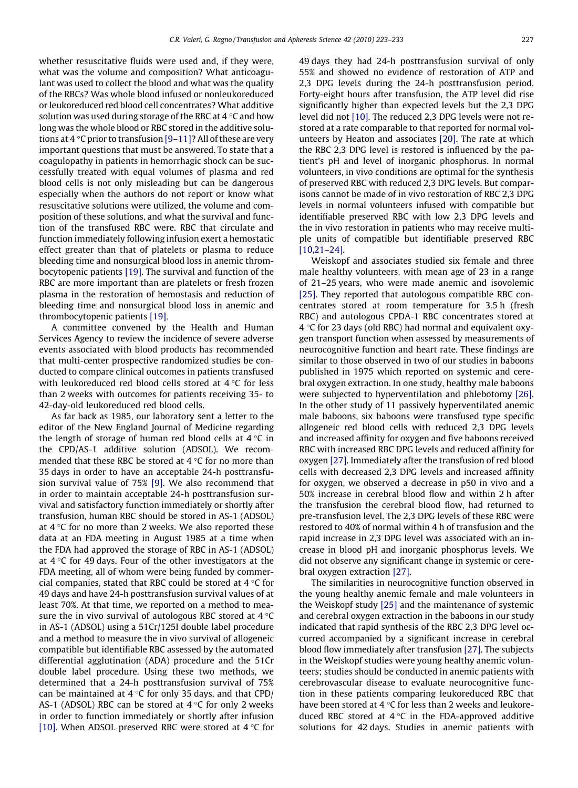whether resuscitative fluids were used and, if they were, what was the volume and composition? What anticoagulant was used to collect the blood and what was the quality of the RBCs? Was whole blood infused or nonleukoreduced or leukoreduced red blood cell concentrates? What additive solution was used during storage of the RBC at 4 °C and how long was the whole blood or RBC stored in the additive solu-tions at 4 °C prior to transfusion [\[9–11\]](#page-9-0)? All of these are very important questions that must be answered. To state that a coagulopathy in patients in hemorrhagic shock can be successfully treated with equal volumes of plasma and red blood cells is not only misleading but can be dangerous especially when the authors do not report or know what resuscitative solutions were utilized, the volume and composition of these solutions, and what the survival and function of the transfused RBC were. RBC that circulate and function immediately following infusion exert a hemostatic effect greater than that of platelets or plasma to reduce bleeding time and nonsurgical blood loss in anemic thrombocytopenic patients [\[19\]](#page-9-0). The survival and function of the RBC are more important than are platelets or fresh frozen plasma in the restoration of hemostasis and reduction of bleeding time and nonsurgical blood loss in anemic and thrombocytopenic patients [\[19\].](#page-9-0)

A committee convened by the Health and Human Services Agency to review the incidence of severe adverse events associated with blood products has recommended that multi-center prospective randomized studies be conducted to compare clinical outcomes in patients transfused with leukoreduced red blood cells stored at 4  $^\circ\textsf{C}$  for less than 2 weeks with outcomes for patients receiving 35- to 42-day-old leukoreduced red blood cells.

As far back as 1985, our laboratory sent a letter to the editor of the New England Journal of Medicine regarding the length of storage of human red blood cells at 4  $^\circ\textsf{C}$  in the CPD/AS-1 additive solution (ADSOL). We recommended that these RBC be stored at 4 °C for no more than 35 days in order to have an acceptable 24-h posttransfusion survival value of 75% [\[9\]](#page-9-0). We also recommend that in order to maintain acceptable 24-h posttransfusion survival and satisfactory function immediately or shortly after transfusion, human RBC should be stored in AS-1 (ADSOL) at 4  $\rm{^{\circ}C}$  for no more than 2 weeks. We also reported these data at an FDA meeting in August 1985 at a time when the FDA had approved the storage of RBC in AS-1 (ADSOL) at 4 °C for 49 days. Four of the other investigators at the FDA meeting, all of whom were being funded by commercial companies, stated that RBC could be stored at 4 °C for 49 days and have 24-h posttransfusion survival values of at least 70%. At that time, we reported on a method to measure the in vivo survival of autologous RBC stored at 4  $^{\circ}$ C in AS-1 (ADSOL) using a 51Cr/125I double label procedure and a method to measure the in vivo survival of allogeneic compatible but identifiable RBC assessed by the automated differential agglutination (ADA) procedure and the 51Cr double label procedure. Using these two methods, we determined that a 24-h posttransfusion survival of 75% can be maintained at 4 °C for only 35 days, and that CPD/ AS-1 (ADSOL) RBC can be stored at 4  $^{\circ}$ C for only 2 weeks in order to function immediately or shortly after infusion [\[10\]](#page-9-0). When ADSOL preserved RBC were stored at  $4^{\circ}$ C for

49 days they had 24-h posttransfusion survival of only 55% and showed no evidence of restoration of ATP and 2,3 DPG levels during the 24-h posttransfusion period. Forty-eight hours after transfusion, the ATP level did rise significantly higher than expected levels but the 2,3 DPG level did not [\[10\].](#page-9-0) The reduced 2,3 DPG levels were not restored at a rate comparable to that reported for normal volunteers by Heaton and associates [\[20\].](#page-9-0) The rate at which the RBC 2,3 DPG level is restored is influenced by the patient's pH and level of inorganic phosphorus. In normal volunteers, in vivo conditions are optimal for the synthesis of preserved RBC with reduced 2,3 DPG levels. But comparisons cannot be made of in vivo restoration of RBC 2,3 DPG levels in normal volunteers infused with compatible but identifiable preserved RBC with low 2,3 DPG levels and the in vivo restoration in patients who may receive multiple units of compatible but identifiable preserved RBC [\[10,21–24\]](#page-9-0).

Weiskopf and associates studied six female and three male healthy volunteers, with mean age of 23 in a range of 21–25 years, who were made anemic and isovolemic [\[25\]](#page-9-0). They reported that autologous compatible RBC concentrates stored at room temperature for 3.5 h (fresh RBC) and autologous CPDA-1 RBC concentrates stored at 4 °C for 23 days (old RBC) had normal and equivalent oxygen transport function when assessed by measurements of neurocognitive function and heart rate. These findings are similar to those observed in two of our studies in baboons published in 1975 which reported on systemic and cerebral oxygen extraction. In one study, healthy male baboons were subjected to hyperventilation and phlebotomy [\[26\]](#page-9-0). In the other study of 11 passively hyperventilated anemic male baboons, six baboons were transfused type specific allogeneic red blood cells with reduced 2,3 DPG levels and increased affinity for oxygen and five baboons received RBC with increased RBC DPG levels and reduced affinity for oxygen [\[27\].](#page-9-0) Immediately after the transfusion of red blood cells with decreased 2,3 DPG levels and increased affinity for oxygen, we observed a decrease in p50 in vivo and a 50% increase in cerebral blood flow and within 2 h after the transfusion the cerebral blood flow, had returned to pre-transfusion level. The 2,3 DPG levels of these RBC were restored to 40% of normal within 4 h of transfusion and the rapid increase in 2,3 DPG level was associated with an increase in blood pH and inorganic phosphorus levels. We did not observe any significant change in systemic or cerebral oxygen extraction [\[27\].](#page-9-0)

The similarities in neurocognitive function observed in the young healthy anemic female and male volunteers in the Weiskopf study [\[25\]](#page-9-0) and the maintenance of systemic and cerebral oxygen extraction in the baboons in our study indicated that rapid synthesis of the RBC 2,3 DPG level occurred accompanied by a significant increase in cerebral blood flow immediately after transfusion [\[27\].](#page-9-0) The subjects in the Weiskopf studies were young healthy anemic volunteers; studies should be conducted in anemic patients with cerebrovascular disease to evaluate neurocognitive function in these patients comparing leukoreduced RBC that have been stored at 4  $\mathrm{^{\circ}C}$  for less than 2 weeks and leukoreduced RBC stored at  $4^{\circ}$ C in the FDA-approved additive solutions for 42 days. Studies in anemic patients with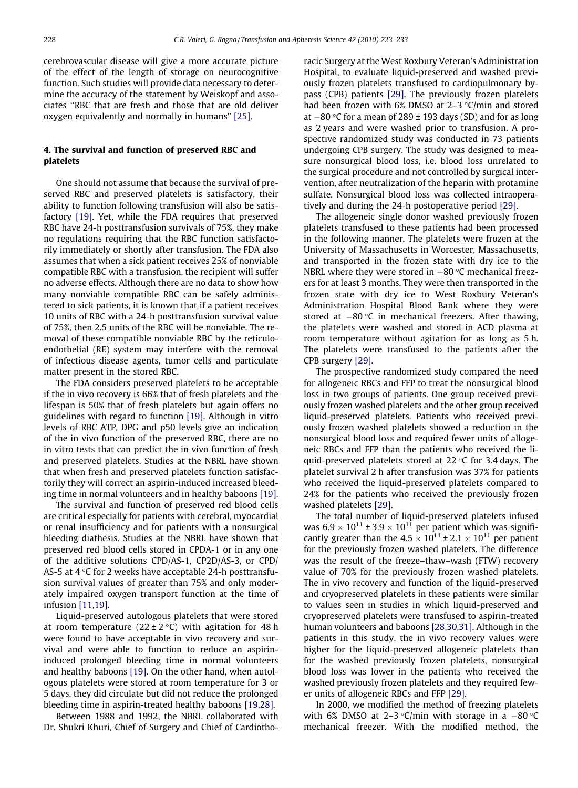cerebrovascular disease will give a more accurate picture of the effect of the length of storage on neurocognitive function. Such studies will provide data necessary to determine the accuracy of the statement by Weiskopf and associates ''RBC that are fresh and those that are old deliver oxygen equivalently and normally in humans" [\[25\].](#page-9-0)

# 4. The survival and function of preserved RBC and platelets

One should not assume that because the survival of preserved RBC and preserved platelets is satisfactory, their ability to function following transfusion will also be satisfactory [\[19\].](#page-9-0) Yet, while the FDA requires that preserved RBC have 24-h posttransfusion survivals of 75%, they make no regulations requiring that the RBC function satisfactorily immediately or shortly after transfusion. The FDA also assumes that when a sick patient receives 25% of nonviable compatible RBC with a transfusion, the recipient will suffer no adverse effects. Although there are no data to show how many nonviable compatible RBC can be safely administered to sick patients, it is known that if a patient receives 10 units of RBC with a 24-h posttransfusion survival value of 75%, then 2.5 units of the RBC will be nonviable. The removal of these compatible nonviable RBC by the reticuloendothelial (RE) system may interfere with the removal of infectious disease agents, tumor cells and particulate matter present in the stored RBC.

The FDA considers preserved platelets to be acceptable if the in vivo recovery is 66% that of fresh platelets and the lifespan is 50% that of fresh platelets but again offers no guidelines with regard to function [\[19\]](#page-9-0). Although in vitro levels of RBC ATP, DPG and p50 levels give an indication of the in vivo function of the preserved RBC, there are no in vitro tests that can predict the in vivo function of fresh and preserved platelets. Studies at the NBRL have shown that when fresh and preserved platelets function satisfactorily they will correct an aspirin-induced increased bleeding time in normal volunteers and in healthy baboons [\[19\]](#page-9-0).

The survival and function of preserved red blood cells are critical especially for patients with cerebral, myocardial or renal insufficiency and for patients with a nonsurgical bleeding diathesis. Studies at the NBRL have shown that preserved red blood cells stored in CPDA-1 or in any one of the additive solutions CPD/AS-1, CP2D/AS-3, or CPD/ AS-5 at 4 °C for 2 weeks have acceptable 24-h posttransfusion survival values of greater than 75% and only moderately impaired oxygen transport function at the time of infusion [\[11,19\]](#page-9-0).

Liquid-preserved autologous platelets that were stored at room temperature (22  $\pm$  2 °C) with agitation for 48 h were found to have acceptable in vivo recovery and survival and were able to function to reduce an aspirininduced prolonged bleeding time in normal volunteers and healthy baboons [\[19\].](#page-9-0) On the other hand, when autologous platelets were stored at room temperature for 3 or 5 days, they did circulate but did not reduce the prolonged bleeding time in aspirin-treated healthy baboons [\[19,28\]](#page-9-0).

Between 1988 and 1992, the NBRL collaborated with Dr. Shukri Khuri, Chief of Surgery and Chief of Cardiothoracic Surgery at the West Roxbury Veteran's Administration Hospital, to evaluate liquid-preserved and washed previously frozen platelets transfused to cardiopulmonary bypass (CPB) patients [\[29\].](#page-9-0) The previously frozen platelets had been frozen with  $6\%$  DMSO at 2–3  $\degree$ C/min and stored at  $-80$  °C for a mean of 289  $\pm$  193 days (SD) and for as long as 2 years and were washed prior to transfusion. A prospective randomized study was conducted in 73 patients undergoing CPB surgery. The study was designed to measure nonsurgical blood loss, i.e. blood loss unrelated to the surgical procedure and not controlled by surgical intervention, after neutralization of the heparin with protamine sulfate. Nonsurgical blood loss was collected intraoperatively and during the 24-h postoperative period [\[29\]](#page-9-0).

The allogeneic single donor washed previously frozen platelets transfused to these patients had been processed in the following manner. The platelets were frozen at the University of Massachusetts in Worcester, Massachusetts, and transported in the frozen state with dry ice to the NBRL where they were stored in  $-80$  °C mechanical freezers for at least 3 months. They were then transported in the frozen state with dry ice to West Roxbury Veteran's Administration Hospital Blood Bank where they were stored at  $-80$  °C in mechanical freezers. After thawing, the platelets were washed and stored in ACD plasma at room temperature without agitation for as long as 5 h. The platelets were transfused to the patients after the CPB surgery [\[29\].](#page-9-0)

The prospective randomized study compared the need for allogeneic RBCs and FFP to treat the nonsurgical blood loss in two groups of patients. One group received previously frozen washed platelets and the other group received liquid-preserved platelets. Patients who received previously frozen washed platelets showed a reduction in the nonsurgical blood loss and required fewer units of allogeneic RBCs and FFP than the patients who received the liquid-preserved platelets stored at 22  $\mathrm{^{\circ}C}$  for 3.4 days. The platelet survival 2 h after transfusion was 37% for patients who received the liquid-preserved platelets compared to 24% for the patients who received the previously frozen washed platelets [\[29\]](#page-9-0).

The total number of liquid-preserved platelets infused was  $6.9 \times 10^{11} \pm 3.9 \times 10^{11}$  per patient which was significantly greater than the  $4.5 \times 10^{11} \pm 2.1 \times 10^{11}$  per patient for the previously frozen washed platelets. The difference was the result of the freeze–thaw–wash (FTW) recovery value of 70% for the previously frozen washed platelets. The in vivo recovery and function of the liquid-preserved and cryopreserved platelets in these patients were similar to values seen in studies in which liquid-preserved and cryopreserved platelets were transfused to aspirin-treated human volunteers and baboons [\[28,30,31\].](#page-9-0) Although in the patients in this study, the in vivo recovery values were higher for the liquid-preserved allogeneic platelets than for the washed previously frozen platelets, nonsurgical blood loss was lower in the patients who received the washed previously frozen platelets and they required fewer units of allogeneic RBCs and FFP [\[29\].](#page-9-0)

In 2000, we modified the method of freezing platelets with 6% DMSO at 2–3 °C/min with storage in a  $-80$  °C mechanical freezer. With the modified method, the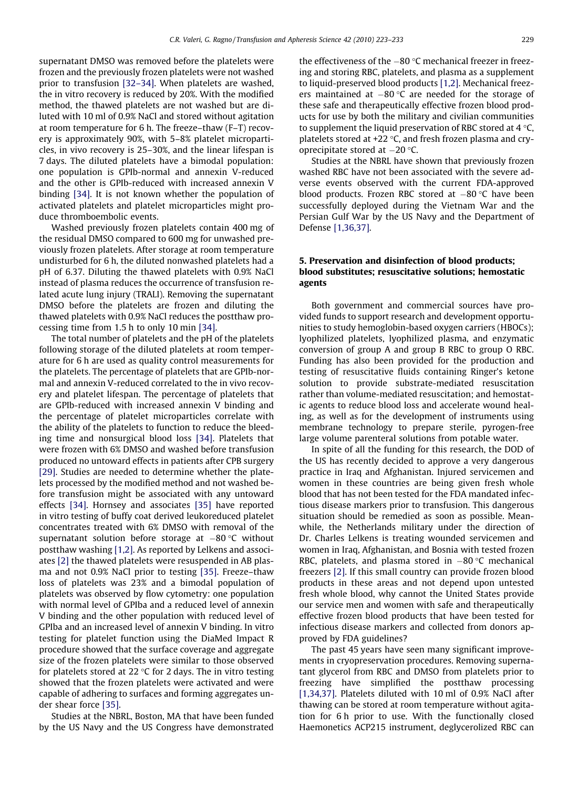supernatant DMSO was removed before the platelets were frozen and the previously frozen platelets were not washed prior to transfusion [\[32–34\]](#page-9-0). When platelets are washed, the in vitro recovery is reduced by 20%. With the modified method, the thawed platelets are not washed but are diluted with 10 ml of 0.9% NaCl and stored without agitation at room temperature for 6 h. The freeze–thaw (F–T) recovery is approximately 90%, with 5–8% platelet microparticles, in vivo recovery is 25–30%, and the linear lifespan is 7 days. The diluted platelets have a bimodal population: one population is GPIb-normal and annexin V-reduced and the other is GPIb-reduced with increased annexin V binding [\[34\].](#page-10-0) It is not known whether the population of activated platelets and platelet microparticles might produce thromboembolic events.

Washed previously frozen platelets contain 400 mg of the residual DMSO compared to 600 mg for unwashed previously frozen platelets. After storage at room temperature undisturbed for 6 h, the diluted nonwashed platelets had a pH of 6.37. Diluting the thawed platelets with 0.9% NaCl instead of plasma reduces the occurrence of transfusion related acute lung injury (TRALI). Removing the supernatant DMSO before the platelets are frozen and diluting the thawed platelets with 0.9% NaCl reduces the postthaw processing time from 1.5 h to only 10 min [\[34\].](#page-10-0)

The total number of platelets and the pH of the platelets following storage of the diluted platelets at room temperature for 6 h are used as quality control measurements for the platelets. The percentage of platelets that are GPIb-normal and annexin V-reduced correlated to the in vivo recovery and platelet lifespan. The percentage of platelets that are GPIb-reduced with increased annexin V binding and the percentage of platelet microparticles correlate with the ability of the platelets to function to reduce the bleeding time and nonsurgical blood loss [\[34\]](#page-10-0). Platelets that were frozen with 6% DMSO and washed before transfusion produced no untoward effects in patients after CPB surgery [\[29\]](#page-9-0). Studies are needed to determine whether the platelets processed by the modified method and not washed before transfusion might be associated with any untoward effects [\[34\]](#page-10-0). Hornsey and associates [\[35\]](#page-10-0) have reported in vitro testing of buffy coat derived leukoreduced platelet concentrates treated with 6% DMSO with removal of the supernatant solution before storage at  $-80\,^{\circ}\textrm{C}$  without postthaw washing [\[1,2\]](#page-9-0). As reported by Lelkens and associates [\[2\]](#page-9-0) the thawed platelets were resuspended in AB plasma and not 0.9% NaCl prior to testing [\[35\]](#page-10-0). Freeze–thaw loss of platelets was 23% and a bimodal population of platelets was observed by flow cytometry: one population with normal level of GPIba and a reduced level of annexin V binding and the other population with reduced level of GPIba and an increased level of annexin V binding. In vitro testing for platelet function using the DiaMed Impact R procedure showed that the surface coverage and aggregate size of the frozen platelets were similar to those observed for platelets stored at 22 °C for 2 days. The in vitro testing showed that the frozen platelets were activated and were capable of adhering to surfaces and forming aggregates under shear force [\[35\].](#page-10-0)

Studies at the NBRL, Boston, MA that have been funded by the US Navy and the US Congress have demonstrated

the effectiveness of the  $-80\,^{\circ}\mathrm{C}$  mechanical freezer in freezing and storing RBC, platelets, and plasma as a supplement to liquid-preserved blood products [\[1,2\]](#page-9-0). Mechanical freezers maintained at  $-80\,^{\circ}\mathrm{C}$  are needed for the storage of these safe and therapeutically effective frozen blood products for use by both the military and civilian communities to supplement the liquid preservation of RBC stored at 4  $^\circ$ C, platelets stored at +22 °C, and fresh frozen plasma and cryoprecipitate stored at  $-20$  °C.

Studies at the NBRL have shown that previously frozen washed RBC have not been associated with the severe adverse events observed with the current FDA-approved blood products. Frozen RBC stored at  $-80$  °C have been successfully deployed during the Vietnam War and the Persian Gulf War by the US Navy and the Department of Defense [\[1,36,37\]](#page-9-0).

# 5. Preservation and disinfection of blood products; blood substitutes; resuscitative solutions; hemostatic agents

Both government and commercial sources have provided funds to support research and development opportunities to study hemoglobin-based oxygen carriers (HBOCs); lyophilized platelets, lyophilized plasma, and enzymatic conversion of group A and group B RBC to group O RBC. Funding has also been provided for the production and testing of resuscitative fluids containing Ringer's ketone solution to provide substrate-mediated resuscitation rather than volume-mediated resuscitation; and hemostatic agents to reduce blood loss and accelerate wound healing, as well as for the development of instruments using membrane technology to prepare sterile, pyrogen-free large volume parenteral solutions from potable water.

In spite of all the funding for this research, the DOD of the US has recently decided to approve a very dangerous practice in Iraq and Afghanistan. Injured servicemen and women in these countries are being given fresh whole blood that has not been tested for the FDA mandated infectious disease markers prior to transfusion. This dangerous situation should be remedied as soon as possible. Meanwhile, the Netherlands military under the direction of Dr. Charles Lelkens is treating wounded servicemen and women in Iraq, Afghanistan, and Bosnia with tested frozen RBC, platelets, and plasma stored in  $-80$  °C mechanical freezers [\[2\]](#page-9-0). If this small country can provide frozen blood products in these areas and not depend upon untested fresh whole blood, why cannot the United States provide our service men and women with safe and therapeutically effective frozen blood products that have been tested for infectious disease markers and collected from donors approved by FDA guidelines?

The past 45 years have seen many significant improvements in cryopreservation procedures. Removing supernatant glycerol from RBC and DMSO from platelets prior to freezing have simplified the postthaw processing [\[1,34,37\]](#page-9-0). Platelets diluted with 10 ml of 0.9% NaCl after thawing can be stored at room temperature without agitation for 6 h prior to use. With the functionally closed Haemonetics ACP215 instrument, deglycerolized RBC can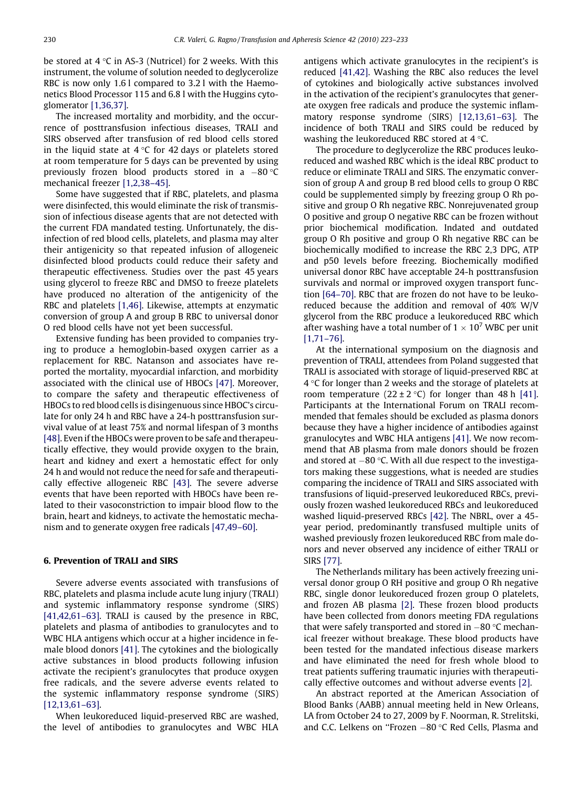be stored at 4  $^\circ\textsf{C}$  in AS-3 (Nutricel) for 2 weeks. With this instrument, the volume of solution needed to deglycerolize RBC is now only 1.6 l compared to 3.2 l with the Haemonetics Blood Processor 115 and 6.8 l with the Huggins cytoglomerator [\[1,36,37\]](#page-9-0).

The increased mortality and morbidity, and the occurrence of posttransfusion infectious diseases, TRALI and SIRS observed after transfusion of red blood cells stored in the liquid state at 4  $^\circ\textsf{C}$  for 42 days or platelets stored at room temperature for 5 days can be prevented by using previously frozen blood products stored in a  $-80$   $^{\circ}$ C mechanical freezer [\[1,2,38–45\].](#page-9-0)

Some have suggested that if RBC, platelets, and plasma were disinfected, this would eliminate the risk of transmission of infectious disease agents that are not detected with the current FDA mandated testing. Unfortunately, the disinfection of red blood cells, platelets, and plasma may alter their antigenicity so that repeated infusion of allogeneic disinfected blood products could reduce their safety and therapeutic effectiveness. Studies over the past 45 years using glycerol to freeze RBC and DMSO to freeze platelets have produced no alteration of the antigenicity of the RBC and platelets [\[1,46\].](#page-9-0) Likewise, attempts at enzymatic conversion of group A and group B RBC to universal donor O red blood cells have not yet been successful.

Extensive funding has been provided to companies trying to produce a hemoglobin-based oxygen carrier as a replacement for RBC. Natanson and associates have reported the mortality, myocardial infarction, and morbidity associated with the clinical use of HBOCs [\[47\]](#page-10-0). Moreover, to compare the safety and therapeutic effectiveness of HBOCs to red blood cells is disingenuous since HBOC's circulate for only 24 h and RBC have a 24-h posttransfusion survival value of at least 75% and normal lifespan of 3 months [\[48\].](#page-10-0) Even if the HBOCs were proven to be safe and therapeutically effective, they would provide oxygen to the brain, heart and kidney and exert a hemostatic effect for only 24 h and would not reduce the need for safe and therapeutically effective allogeneic RBC [\[43\].](#page-10-0) The severe adverse events that have been reported with HBOCs have been related to their vasoconstriction to impair blood flow to the brain, heart and kidneys, to activate the hemostatic mechanism and to generate oxygen free radicals [\[47,49–60\].](#page-10-0)

## 6. Prevention of TRALI and SIRS

Severe adverse events associated with transfusions of RBC, platelets and plasma include acute lung injury (TRALI) and systemic inflammatory response syndrome (SIRS) [\[41,42,61–63\].](#page-10-0) TRALI is caused by the presence in RBC, platelets and plasma of antibodies to granulocytes and to WBC HLA antigens which occur at a higher incidence in female blood donors [\[41\]](#page-10-0). The cytokines and the biologically active substances in blood products following infusion activate the recipient's granulocytes that produce oxygen free radicals, and the severe adverse events related to the systemic inflammatory response syndrome (SIRS) [\[12,13,61–63\].](#page-9-0)

When leukoreduced liquid-preserved RBC are washed, the level of antibodies to granulocytes and WBC HLA antigens which activate granulocytes in the recipient's is reduced [\[41,42\].](#page-10-0) Washing the RBC also reduces the level of cytokines and biologically active substances involved in the activation of the recipient's granulocytes that generate oxygen free radicals and produce the systemic inflammatory response syndrome (SIRS) [\[12,13,61–63\]](#page-9-0). The incidence of both TRALI and SIRS could be reduced by washing the leukoreduced RBC stored at  $4^{\circ}$ C.

The procedure to deglycerolize the RBC produces leukoreduced and washed RBC which is the ideal RBC product to reduce or eliminate TRALI and SIRS. The enzymatic conversion of group A and group B red blood cells to group O RBC could be supplemented simply by freezing group O Rh positive and group O Rh negative RBC. Nonrejuvenated group O positive and group O negative RBC can be frozen without prior biochemical modification. Indated and outdated group O Rh positive and group O Rh negative RBC can be biochemically modified to increase the RBC 2,3 DPG, ATP and p50 levels before freezing. Biochemically modified universal donor RBC have acceptable 24-h posttransfusion survivals and normal or improved oxygen transport function [\[64–70\].](#page-10-0) RBC that are frozen do not have to be leukoreduced because the addition and removal of 40% W/V glycerol from the RBC produce a leukoreduced RBC which after washing have a total number of  $1 \times 10^7$  WBC per unit [\[1,71–76\].](#page-9-0)

At the international symposium on the diagnosis and prevention of TRALI, attendees from Poland suggested that TRALI is associated with storage of liquid-preserved RBC at  $4\,^{\circ}$ C for longer than 2 weeks and the storage of platelets at room temperature (22  $\pm$  2 °C) for longer than 48 h [\[41\]](#page-10-0). Participants at the International Forum on TRALI recommended that females should be excluded as plasma donors because they have a higher incidence of antibodies against granulocytes and WBC HLA antigens [\[41\]](#page-10-0). We now recommend that AB plasma from male donors should be frozen and stored at  $-80$  °C. With all due respect to the investigators making these suggestions, what is needed are studies comparing the incidence of TRALI and SIRS associated with transfusions of liquid-preserved leukoreduced RBCs, previously frozen washed leukoreduced RBCs and leukoreduced washed liquid-preserved RBCs [\[42\].](#page-10-0) The NBRL, over a 45 year period, predominantly transfused multiple units of washed previously frozen leukoreduced RBC from male donors and never observed any incidence of either TRALI or SIRS [\[77\]](#page-10-0).

The Netherlands military has been actively freezing universal donor group O RH positive and group O Rh negative RBC, single donor leukoreduced frozen group O platelets, and frozen AB plasma [\[2\].](#page-9-0) These frozen blood products have been collected from donors meeting FDA regulations that were safely transported and stored in  $-80$  °C mechanical freezer without breakage. These blood products have been tested for the mandated infectious disease markers and have eliminated the need for fresh whole blood to treat patients suffering traumatic injuries with therapeutically effective outcomes and without adverse events [\[2\]](#page-9-0).

An abstract reported at the American Association of Blood Banks (AABB) annual meeting held in New Orleans, LA from October 24 to 27, 2009 by F. Noorman, R. Strelitski, and C.C. Lelkens on "Frozen  $-80$  °C Red Cells, Plasma and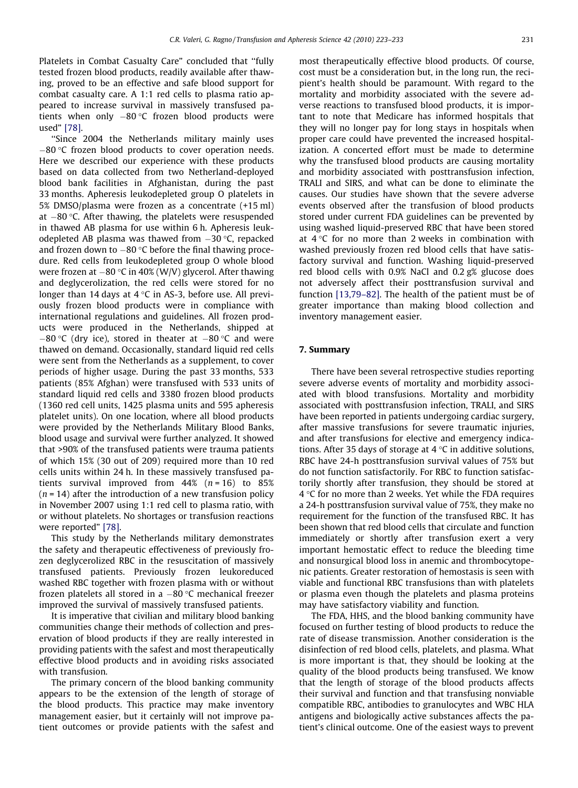Platelets in Combat Casualty Care" concluded that ''fully tested frozen blood products, readily available after thawing, proved to be an effective and safe blood support for combat casualty care. A 1:1 red cells to plasma ratio appeared to increase survival in massively transfused patients when only –80 °C frozen blood products were used" [\[78\]](#page-10-0).

''Since 2004 the Netherlands military mainly uses  $-80$  °C frozen blood products to cover operation needs. Here we described our experience with these products based on data collected from two Netherland-deployed blood bank facilities in Afghanistan, during the past 33 months. Apheresis leukodepleted group O platelets in 5% DMSO/plasma were frozen as a concentrate (+15 ml) at –80 °C. After thawing, the platelets were resuspended in thawed AB plasma for use within 6 h. Apheresis leukodepleted AB plasma was thawed from –30 °C, repacked and frozen down to  $-80\,^{\circ}\mathrm{C}$  before the final thawing procedure. Red cells from leukodepleted group O whole blood were frozen at –80 °C in 40% (W/V) glycerol. After thawing and deglycerolization, the red cells were stored for no longer than 14 days at 4 °C in AS-3, before use. All previously frozen blood products were in compliance with international regulations and guidelines. All frozen products were produced in the Netherlands, shipped at  $-80\,^{\circ}\textrm{C}$  (dry ice), stored in theater at  $-80\,^{\circ}\textrm{C}$  and were thawed on demand. Occasionally, standard liquid red cells were sent from the Netherlands as a supplement, to cover periods of higher usage. During the past 33 months, 533 patients (85% Afghan) were transfused with 533 units of standard liquid red cells and 3380 frozen blood products (1360 red cell units, 1425 plasma units and 595 apheresis platelet units). On one location, where all blood products were provided by the Netherlands Military Blood Banks, blood usage and survival were further analyzed. It showed that >90% of the transfused patients were trauma patients of which 15% (30 out of 209) required more than 10 red cells units within 24 h. In these massively transfused patients survival improved from  $44\%$  ( $n = 16$ ) to 85%  $(n = 14)$  after the introduction of a new transfusion policy in November 2007 using 1:1 red cell to plasma ratio, with or without platelets. No shortages or transfusion reactions were reported" [\[78\]](#page-10-0).

This study by the Netherlands military demonstrates the safety and therapeutic effectiveness of previously frozen deglycerolized RBC in the resuscitation of massively transfused patients. Previously frozen leukoreduced washed RBC together with frozen plasma with or without frozen platelets all stored in a  $-80\,^{\circ}\textrm{C}$  mechanical freezer improved the survival of massively transfused patients.

It is imperative that civilian and military blood banking communities change their methods of collection and preservation of blood products if they are really interested in providing patients with the safest and most therapeutically effective blood products and in avoiding risks associated with transfusion.

The primary concern of the blood banking community appears to be the extension of the length of storage of the blood products. This practice may make inventory management easier, but it certainly will not improve patient outcomes or provide patients with the safest and most therapeutically effective blood products. Of course, cost must be a consideration but, in the long run, the recipient's health should be paramount. With regard to the mortality and morbidity associated with the severe adverse reactions to transfused blood products, it is important to note that Medicare has informed hospitals that they will no longer pay for long stays in hospitals when proper care could have prevented the increased hospitalization. A concerted effort must be made to determine why the transfused blood products are causing mortality and morbidity associated with posttransfusion infection, TRALI and SIRS, and what can be done to eliminate the causes. Our studies have shown that the severe adverse events observed after the transfusion of blood products stored under current FDA guidelines can be prevented by using washed liquid-preserved RBC that have been stored at  $4\degree$ C for no more than 2 weeks in combination with washed previously frozen red blood cells that have satisfactory survival and function. Washing liquid-preserved red blood cells with 0.9% NaCl and 0.2 g% glucose does not adversely affect their posttransfusion survival and function [\[13,79–82\].](#page-9-0) The health of the patient must be of greater importance than making blood collection and inventory management easier.

#### 7. Summary

There have been several retrospective studies reporting severe adverse events of mortality and morbidity associated with blood transfusions. Mortality and morbidity associated with posttransfusion infection, TRALI, and SIRS have been reported in patients undergoing cardiac surgery, after massive transfusions for severe traumatic injuries, and after transfusions for elective and emergency indications. After 35 days of storage at 4  $^{\circ}$ C in additive solutions, RBC have 24-h posttransfusion survival values of 75% but do not function satisfactorily. For RBC to function satisfactorily shortly after transfusion, they should be stored at 4 °C for no more than 2 weeks. Yet while the FDA requires a 24-h posttransfusion survival value of 75%, they make no requirement for the function of the transfused RBC. It has been shown that red blood cells that circulate and function immediately or shortly after transfusion exert a very important hemostatic effect to reduce the bleeding time and nonsurgical blood loss in anemic and thrombocytopenic patients. Greater restoration of hemostasis is seen with viable and functional RBC transfusions than with platelets or plasma even though the platelets and plasma proteins may have satisfactory viability and function.

The FDA, HHS, and the blood banking community have focused on further testing of blood products to reduce the rate of disease transmission. Another consideration is the disinfection of red blood cells, platelets, and plasma. What is more important is that, they should be looking at the quality of the blood products being transfused. We know that the length of storage of the blood products affects their survival and function and that transfusing nonviable compatible RBC, antibodies to granulocytes and WBC HLA antigens and biologically active substances affects the patient's clinical outcome. One of the easiest ways to prevent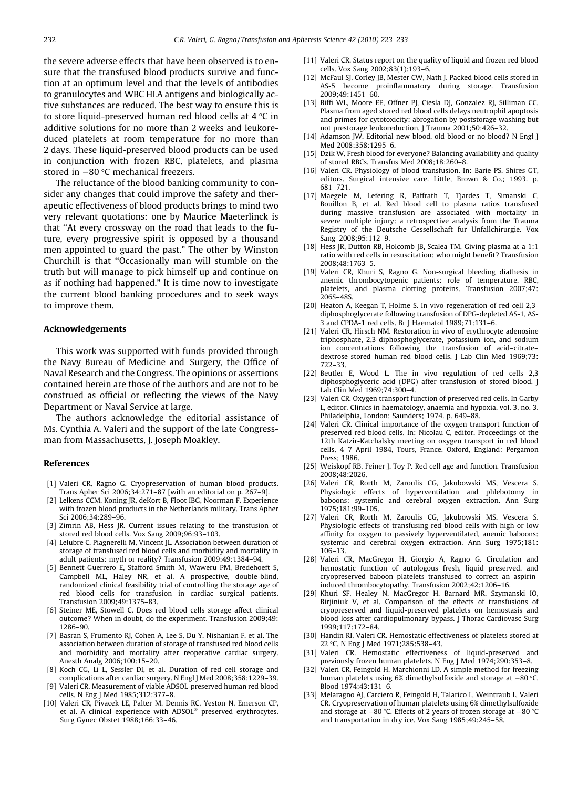<span id="page-9-0"></span>the severe adverse effects that have been observed is to ensure that the transfused blood products survive and function at an optimum level and that the levels of antibodies to granulocytes and WBC HLA antigens and biologically active substances are reduced. The best way to ensure this is to store liquid-preserved human red blood cells at 4 °C in additive solutions for no more than 2 weeks and leukoreduced platelets at room temperature for no more than 2 days. These liquid-preserved blood products can be used in conjunction with frozen RBC, platelets, and plasma stored in –80 °C mechanical freezers.

The reluctance of the blood banking community to consider any changes that could improve the safety and therapeutic effectiveness of blood products brings to mind two very relevant quotations: one by Maurice Maeterlinck is that ''At every crossway on the road that leads to the future, every progressive spirit is opposed by a thousand men appointed to guard the past." The other by Winston Churchill is that ''Occasionally man will stumble on the truth but will manage to pick himself up and continue on as if nothing had happened." It is time now to investigate the current blood banking procedures and to seek ways to improve them.

### Acknowledgements

This work was supported with funds provided through the Navy Bureau of Medicine and Surgery, the Office of Naval Research and the Congress. The opinions or assertions contained herein are those of the authors and are not to be construed as official or reflecting the views of the Navy Department or Naval Service at large.

The authors acknowledge the editorial assistance of Ms. Cynthia A. Valeri and the support of the late Congressman from Massachusetts, J. Joseph Moakley.

#### References

- [1] Valeri CR, Ragno G. Cryopreservation of human blood products. Trans Apher Sci 2006;34:271–87 [with an editorial on p. 267–9].
- [2] Lelkens CCM, Koning JR, deKort B, Floot IBG, Noorman F. Experience with frozen blood products in the Netherlands military. Trans Apher Sci 2006;34:289–96.
- [3] Zimrin AB, Hess JR. Current issues relating to the transfusion of stored red blood cells. Vox Sang 2009;96:93–103.
- [4] Lelubre C, Piagnerelli M, Vincent JL. Association between duration of storage of transfused red blood cells and morbidity and mortality in adult patients: myth or reality? Transfusion 2009;49:1384–94.
- [5] Bennett-Guerrero E, Stafford-Smith M, Waweru PM, Bredehoeft S, Campbell ML, Haley NR, et al. A prospective, double-blind, randomized clinical feasibility trial of controlling the storage age of red blood cells for transfusion in cardiac surgical patients. Transfusion 2009;49:1375–83.
- [6] Steiner ME, Stowell C. Does red blood cells storage affect clinical outcome? When in doubt, do the experiment. Transfusion 2009;49: 1286–90.
- Basran S, Frumento RJ, Cohen A, Lee S, Du Y, Nishanian F, et al. The association between duration of storage of transfused red blood cells and morbidity and mortality after reoperative cardiac surgery. Anesth Analg 2006;100:15–20.
- [8] Koch CG, Li L, Sessler DI, et al. Duration of red cell storage and complications after cardiac surgery. N Engl J Med 2008;358:1229–39.
- [9] Valeri CR. Measurement of viable ADSOL-preserved human red blood cells. N Eng J Med 1985;312:377–8.
- [10] Valeri CR, Pivacek LE, Palter M, Dennis RC, Yeston N, Emerson CP, et al. A clinical experience with  $ADSOL^{\circledast}$  preserved erythrocytes. Surg Gynec Obstet 1988;166:33–46.
- [11] Valeri CR. Status report on the quality of liquid and frozen red blood cells. Vox Sang 2002;83(1):193–6.
- [12] McFaul SJ, Corley JB, Mester CW, Nath J. Packed blood cells stored in AS-5 become proinflammatory during storage. Transfusion 2009;49:1451–60.
- [13] Biffi WL, Moore EE, Offner PI, Ciesla DI, Gonzalez RI, Silliman CC, Plasma from aged stored red blood cells delays neutrophil apoptosis and primes for cytotoxicity: abrogation by poststorage washing but not prestorage leukoreduction. J Trauma 2001;50:426–32.
- [14] Adamson JW. Editorial new blood, old blood or no blood? N Engl J Med 2008;358:1295–6.
- [15] Dzik W. Fresh blood for everyone? Balancing availability and quality of stored RBCs. Transfus Med 2008;18:260–8.
- [16] Valeri CR. Physiology of blood transfusion. In: Barie PS, Shires GT, editors. Surgical intensive care. Little, Brown & Co.; 1993. p. 681–721.
- [17] Maegele M, Lefering R, Paffrath T, Tjardes T, Simanski C, Bouillon B, et al. Red blood cell to plasma ratios transfused during massive transfusion are associated with mortality in severe multiple injury: a retrospective analysis from the Trauma Registry of the Deutsche Gessellschaft fur Unfallchirurgie. Vox Sang 2008;95:112–9.
- [18] Hess JR, Dutton RB, Holcomb JB, Scalea TM. Giving plasma at a 1:1 ratio with red cells in resuscitation: who might benefit? Transfusion 2008;48:1763–5.
- [19] Valeri CR, Khuri S, Ragno G. Non-surgical bleeding diathesis in anemic thrombocytopenic patients: role of temperature, RBC, platelets, and plasma clotting proteins. Transfusion 2007;47: 206S–48S.
- [20] Heaton A, Keegan T, Holme S. In vivo regeneration of red cell 2,3 diphosphoglycerate following transfusion of DPG-depleted AS-1, AS-3 and CPDA-1 red cells. Br J Haematol 1989;71:131–6.
- [21] Valeri CR, Hirsch NM. Restoration in vivo of erythrocyte adenosine triphosphate, 2,3-diphosphoglycerate, potassium ion, and sodium ion concentrations following the transfusion of acid–citrate– dextrose-stored human red blood cells. J Lab Clin Med 1969;73: 722–33.
- [22] Beutler E, Wood L. The in vivo regulation of red cells 2,3 diphosphoglyceric acid (DPG) after transfusion of stored blood. J Lab Clin Med 1969;74:300–4.
- [23] Valeri CR. Oxygen transport function of preserved red cells. In Garby L, editor. Clinics in haematology, anaemia and hypoxia, vol. 3, no. 3. Philadelphia, London: Saunders; 1974. p. 649–88.
- [24] Valeri CR. Clinical importance of the oxygen transport function of preserved red blood cells. In: Nicolau C, editor. Proceedings of the 12th Katzir-Katchalsky meeting on oxygen transport in red blood cells, 4–7 April 1984, Tours, France. Oxford, England: Pergamon Press; 1986.
- [25] Weiskopf RB, Feiner J, Toy P. Red cell age and function. Transfusion 2008;48:2026.
- [26] Valeri CR, Rorth M, Zaroulis CG, Jakubowski MS, Vescera S. Physiologic effects of hyperventilation and phlebotomy in baboons: systemic and cerebral oxygen extraction. Ann Surg 1975;181:99–105.
- [27] Valeri CR, Rorth M, Zaroulis CG, Jakubowski MS, Vescera S. Physiologic effects of transfusing red blood cells with high or low affinity for oxygen to passively hyperventilated, anemic baboons: systemic and cerebral oxygen extraction. Ann Surg 1975;181: 106–13.
- [28] Valeri CR, MacGregor H, Giorgio A, Ragno G. Circulation and hemostatic function of autologous fresh, liquid preserved, and cryopreserved baboon platelets transfused to correct an aspirininduced thrombocytopathy. Transfusion 2002;42:1206–16.
- [29] Khuri SF, Healey N, MacGregor H, Barnard MR, Szymanski IO, Birjiniuk V, et al. Comparison of the effects of transfusions of cryopreserved and liquid-preserved platelets on hemostasis and blood loss after cardiopulmonary bypass. J Thorac Cardiovasc Surg 1999;117:172–84.
- [30] Handin RI, Valeri CR. Hemostatic effectiveness of platelets stored at 22 -C. N Eng J Med 1971;285:538–43.
- [31] Valeri CR. Hemostatic effectiveness of liquid-preserved and previously frozen human platelets. N Eng J Med 1974;290:353–8.
- [32] Valeri CR, Feingold H, Marchionni LD. A simple method for freezing human platelets using  $6\%$  dimethylsulfoxide and storage at  $-80$  °C. Blood 1974;43:131–6.
- [33] Melaragno AJ, Carciero R, Feingold H, Talarico L, Weintraub L, Valeri CR. Cryopreservation of human platelets using 6% dimethylsulfoxide and storage at  $-80$  °C. Effects of 2 years of frozen storage at  $-80$  °C and transportation in dry ice. Vox Sang 1985;49:245–58.